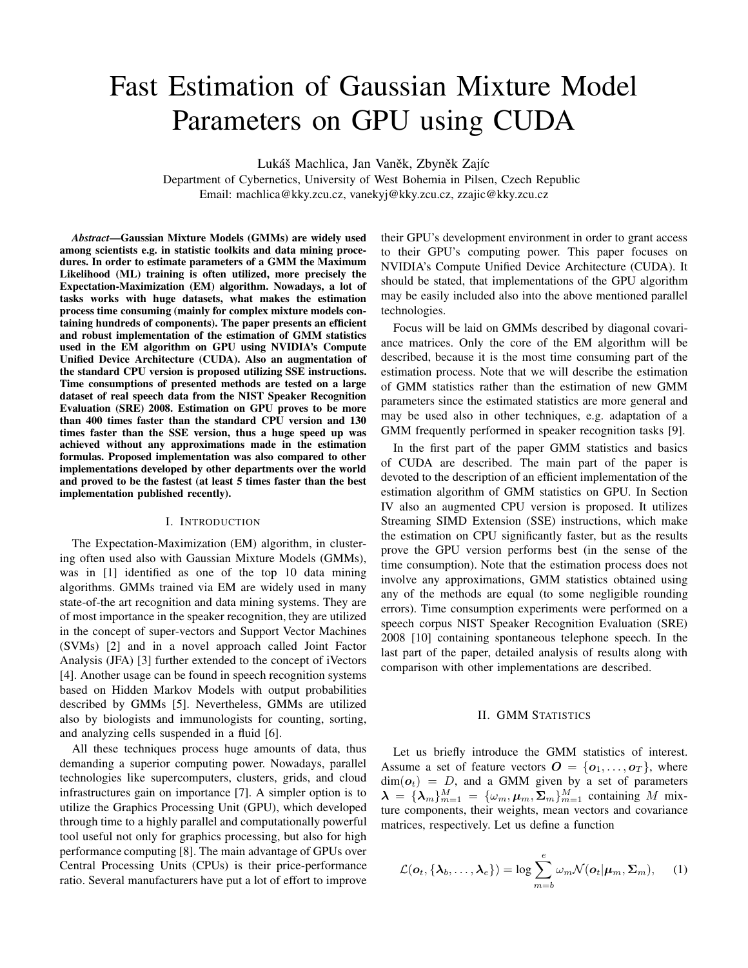# Fast Estimation of Gaussian Mixture Model Parameters on GPU using CUDA

Lukáš Machlica, Jan Vaněk, Zbyněk Zajíc

Department of Cybernetics, University of West Bohemia in Pilsen, Czech Republic Email: machlica@kky.zcu.cz, vanekyj@kky.zcu.cz, zzajic@kky.zcu.cz

*Abstract***—Gaussian Mixture Models (GMMs) are widely used among scientists e.g. in statistic toolkits and data mining procedures. In order to estimate parameters of a GMM the Maximum Likelihood (ML) training is often utilized, more precisely the Expectation-Maximization (EM) algorithm. Nowadays, a lot of tasks works with huge datasets, what makes the estimation process time consuming (mainly for complex mixture models containing hundreds of components). The paper presents an efficient and robust implementation of the estimation of GMM statistics used in the EM algorithm on GPU using NVIDIA's Compute Unified Device Architecture (CUDA). Also an augmentation of the standard CPU version is proposed utilizing SSE instructions. Time consumptions of presented methods are tested on a large dataset of real speech data from the NIST Speaker Recognition Evaluation (SRE) 2008. Estimation on GPU proves to be more than 400 times faster than the standard CPU version and 130 times faster than the SSE version, thus a huge speed up was achieved without any approximations made in the estimation formulas. Proposed implementation was also compared to other implementations developed by other departments over the world and proved to be the fastest (at least 5 times faster than the best implementation published recently).**

#### I. INTRODUCTION

The Expectation-Maximization (EM) algorithm, in clustering often used also with Gaussian Mixture Models (GMMs), was in [1] identified as one of the top 10 data mining algorithms. GMMs trained via EM are widely used in many state-of-the art recognition and data mining systems. They are of most importance in the speaker recognition, they are utilized in the concept of super-vectors and Support Vector Machines (SVMs) [2] and in a novel approach called Joint Factor Analysis (JFA) [3] further extended to the concept of iVectors [4]. Another usage can be found in speech recognition systems based on Hidden Markov Models with output probabilities described by GMMs [5]. Nevertheless, GMMs are utilized also by biologists and immunologists for counting, sorting, and analyzing cells suspended in a fluid [6].

All these techniques process huge amounts of data, thus demanding a superior computing power. Nowadays, parallel technologies like supercomputers, clusters, grids, and cloud infrastructures gain on importance [7]. A simpler option is to utilize the Graphics Processing Unit (GPU), which developed through time to a highly parallel and computationally powerful tool useful not only for graphics processing, but also for high performance computing [8]. The main advantage of GPUs over Central Processing Units (CPUs) is their price-performance ratio. Several manufacturers have put a lot of effort to improve their GPU's development environment in order to grant access to their GPU's computing power. This paper focuses on NVIDIA's Compute Unified Device Architecture (CUDA). It should be stated, that implementations of the GPU algorithm may be easily included also into the above mentioned parallel technologies.

Focus will be laid on GMMs described by diagonal covariance matrices. Only the core of the EM algorithm will be described, because it is the most time consuming part of the estimation process. Note that we will describe the estimation of GMM statistics rather than the estimation of new GMM parameters since the estimated statistics are more general and may be used also in other techniques, e.g. adaptation of a GMM frequently performed in speaker recognition tasks [9].

In the first part of the paper GMM statistics and basics of CUDA are described. The main part of the paper is devoted to the description of an efficient implementation of the estimation algorithm of GMM statistics on GPU. In Section IV also an augmented CPU version is proposed. It utilizes Streaming SIMD Extension (SSE) instructions, which make the estimation on CPU significantly faster, but as the results prove the GPU version performs best (in the sense of the time consumption). Note that the estimation process does not involve any approximations, GMM statistics obtained using any of the methods are equal (to some negligible rounding errors). Time consumption experiments were performed on a speech corpus NIST Speaker Recognition Evaluation (SRE) 2008 [10] containing spontaneous telephone speech. In the last part of the paper, detailed analysis of results along with comparison with other implementations are described.

#### II. GMM STATISTICS

Let us briefly introduce the GMM statistics of interest. Assume a set of feature vectors  $O = \{o_1, \ldots, o_T\}$ , where  $dim(\boldsymbol{o}_t) = D$ , and a GMM given by a set of parameters  $\lambda = {\lambda_m}_{m=1}^M = {\omega_m, \mu_m, \Sigma_m}_{m=1}^M$  containing M mixture components, their weights, mean vectors and covariance matrices, respectively. Let us define a function

$$
\mathcal{L}(\boldsymbol{o}_t, \{\boldsymbol{\lambda}_b, \dots, \boldsymbol{\lambda}_e\}) = \log \sum_{m=b}^e \omega_m \mathcal{N}(\boldsymbol{o}_t | \boldsymbol{\mu}_m, \boldsymbol{\Sigma}_m),
$$
 (1)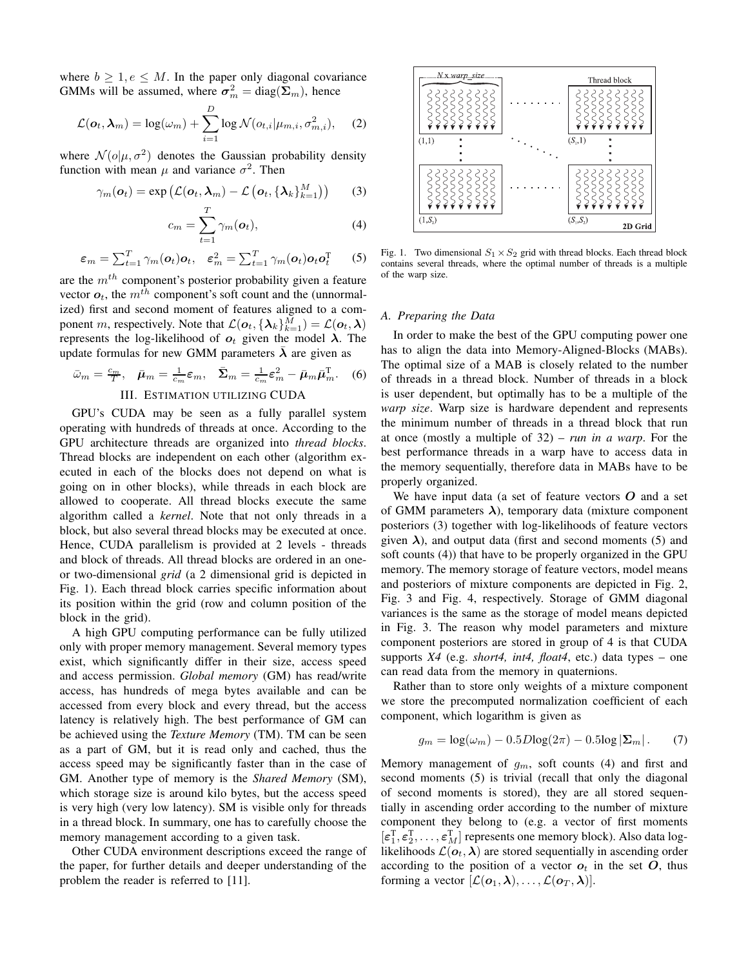where  $b \geq 1, e \leq M$ . In the paper only diagonal covariance GMMs will be assumed, where  $\sigma_m^2 = \text{diag}(\Sigma_m)$ , hence

$$
\mathcal{L}(\boldsymbol{o}_t, \boldsymbol{\lambda}_m) = \log(\omega_m) + \sum_{i=1}^D \log \mathcal{N}(o_{t,i} | \mu_{m,i}, \sigma_{m,i}^2), \quad (2)
$$

where  $\mathcal{N}(o|\mu, \sigma^2)$  denotes the Gaussian probability density function with mean  $\mu$  and variance  $\sigma^2$ . Then

$$
\gamma_m(\boldsymbol{o}_t) = \exp\left(\mathcal{L}(\boldsymbol{o}_t, \boldsymbol{\lambda}_m) - \mathcal{L}\left(\boldsymbol{o}_t, \{\boldsymbol{\lambda}_k\}_{k=1}^M\right)\right) \qquad (3)
$$

$$
c_m = \sum_{t=1}^{I} \gamma_m(o_t), \qquad (4)
$$

$$
\varepsilon_m = \sum_{t=1}^T \gamma_m(\boldsymbol{o}_t) \boldsymbol{o}_t, \quad \varepsilon_m^2 = \sum_{t=1}^T \gamma_m(\boldsymbol{o}_t) \boldsymbol{o}_t \boldsymbol{o}_t^T \qquad (5)
$$

are the m*th* component's posterior probability given a feature vector  $o_t$ , the  $m^{th}$  component's soft count and the (unnormalized) first and second moment of features aligned to a component *m*, respectively. Note that  $\mathcal{L}(\boldsymbol{o}_t, {\{\lambda_k\}}_{k=1}^{\tilde{M}}) = \mathcal{L}(\boldsymbol{o}_t, \boldsymbol{\lambda})$ represents the log-likelihood of  $o_t$  given the model  $\lambda$ . The update formulas for new GMM parameters  $\lambda$  are given as

$$
\bar{\omega}_m = \frac{c_m}{T}, \quad \bar{\mu}_m = \frac{1}{c_m} \varepsilon_m, \quad \bar{\Sigma}_m = \frac{1}{c_m} \varepsilon_m^2 - \bar{\mu}_m \bar{\mu}_m^T. \tag{6}
$$

# III. ESTIMATION UTILIZING CUDA

GPU's CUDA may be seen as a fully parallel system operating with hundreds of threads at once. According to the GPU architecture threads are organized into *thread blocks*. Thread blocks are independent on each other (algorithm executed in each of the blocks does not depend on what is going on in other blocks), while threads in each block are allowed to cooperate. All thread blocks execute the same algorithm called a *kernel*. Note that not only threads in a block, but also several thread blocks may be executed at once. Hence, CUDA parallelism is provided at 2 levels - threads and block of threads. All thread blocks are ordered in an oneor two-dimensional *grid* (a 2 dimensional grid is depicted in Fig. 1). Each thread block carries specific information about its position within the grid (row and column position of the block in the grid).

A high GPU computing performance can be fully utilized only with proper memory management. Several memory types exist, which significantly differ in their size, access speed and access permission. *Global memory* (GM) has read/write access, has hundreds of mega bytes available and can be accessed from every block and every thread, but the access latency is relatively high. The best performance of GM can be achieved using the *Texture Memory* (TM). TM can be seen as a part of GM, but it is read only and cached, thus the access speed may be significantly faster than in the case of GM. Another type of memory is the *Shared Memory* (SM), which storage size is around kilo bytes, but the access speed is very high (very low latency). SM is visible only for threads in a thread block. In summary, one has to carefully choose the memory management according to a given task.

Other CUDA environment descriptions exceed the range of the paper, for further details and deeper understanding of the problem the reader is referred to [11].



Fig. 1. Two dimensional  $S_1 \times S_2$  grid with thread blocks. Each thread block contains several threads, where the optimal number of threads is a multiple of the warp size.

# *A. Preparing the Data*

In order to make the best of the GPU computing power one has to align the data into Memory-Aligned-Blocks (MABs). The optimal size of a MAB is closely related to the number of threads in a thread block. Number of threads in a block is user dependent, but optimally has to be a multiple of the *warp size*. Warp size is hardware dependent and represents the minimum number of threads in a thread block that run at once (mostly a multiple of 32) – *run in a warp*. For the best performance threads in a warp have to access data in the memory sequentially, therefore data in MABs have to be properly organized.

We have input data (a set of feature vectors *O* and a set of GMM parameters  $\lambda$ ), temporary data (mixture component posteriors (3) together with log-likelihoods of feature vectors given  $\lambda$ ), and output data (first and second moments (5) and soft counts (4)) that have to be properly organized in the GPU memory. The memory storage of feature vectors, model means and posteriors of mixture components are depicted in Fig. 2, Fig. 3 and Fig. 4, respectively. Storage of GMM diagonal variances is the same as the storage of model means depicted in Fig. 3. The reason why model parameters and mixture component posteriors are stored in group of 4 is that CUDA supports *X4* (e.g. *short4, int4, float4*, etc.) data types – one can read data from the memory in quaternions.

Rather than to store only weights of a mixture component we store the precomputed normalization coefficient of each component, which logarithm is given as

$$
g_m = \log(\omega_m) - 0.5D\log(2\pi) - 0.5\log|\Sigma_m|.
$$
 (7)

Memory management of g*m*, soft counts (4) and first and second moments (5) is trivial (recall that only the diagonal of second moments is stored), they are all stored sequentially in ascending order according to the number of mixture component they belong to (e.g. a vector of first moments  $[\epsilon_1^{\mathrm{T}}, \epsilon_2^{\mathrm{T}}, \ldots, \epsilon_M^{\mathrm{T}}]$  represents one memory block). Also data loglikelihoods  $\mathcal{L}(\boldsymbol{o}_t, \boldsymbol{\lambda})$  are stored sequentially in ascending order according to the position of a vector  $o_t$  in the set  $O$ , thus forming a vector  $[\mathcal{L}(\boldsymbol{o}_1,\boldsymbol{\lambda}),\ldots,\mathcal{L}(\boldsymbol{o}_T,\boldsymbol{\lambda})].$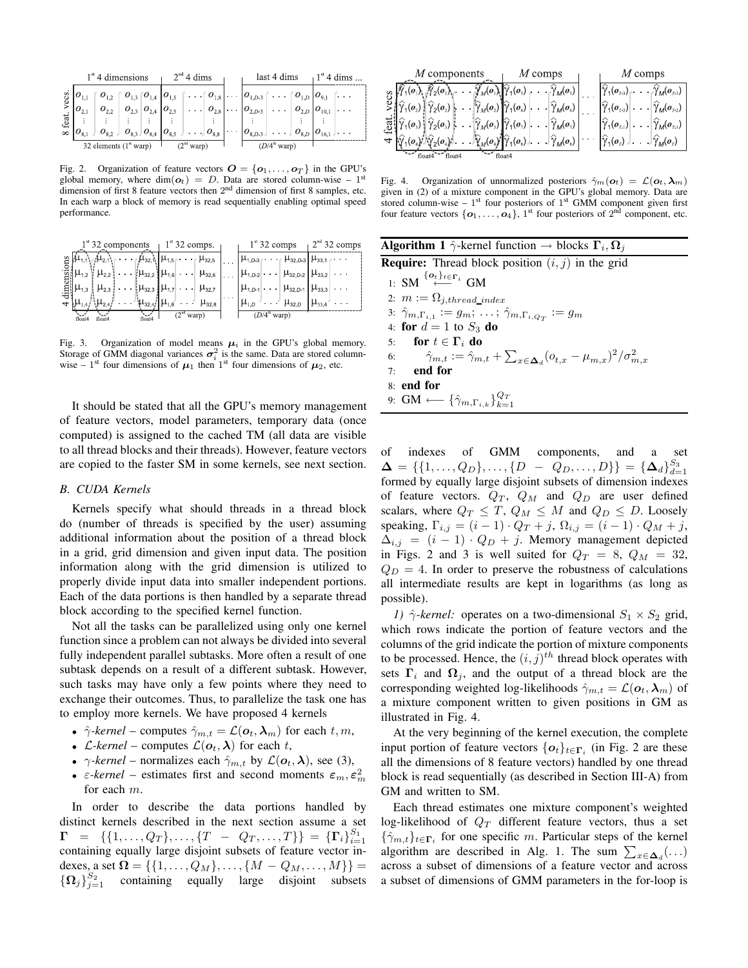|          |            | $1st$ 4 dimensions                               |                               | $2nd$ 4 dims                                           |  |                                                                                                  | last 4 dims                   |  | $1^{st}$ 4 dims |
|----------|------------|--------------------------------------------------|-------------------------------|--------------------------------------------------------|--|--------------------------------------------------------------------------------------------------|-------------------------------|--|-----------------|
| ecs.     |            |                                                  |                               |                                                        |  | $O_{1,3}$ $ O_{1,4} $ $O_{1,5} $ $\cdots$ $ O_{1,8} $ $\cdots$ $ O_{1,D} $ $O_{1,5} $ $O_{1,6} $ |                               |  |                 |
|          | $10_{2,1}$ |                                                  | $O_{2,3}$ $O_{2,4}$ $O_{2,5}$ | $\ldots$ $\mid$ $O_{2,8}$ $\mid$ $\ldots$ $\mid$       |  | $ O_{2,D-3} $                                                                                    | $\cdots$ $O_{2,D}$ $O_{10,1}$ |  |                 |
| feat     |            |                                                  |                               |                                                        |  |                                                                                                  |                               |  |                 |
| $\infty$ |            | $_4$ $O_{8,2}$ $\downarrow$                      |                               | $O_{8,3}$ , $O_{8,4}$ $O_{8,5}$ , $\ldots$ , $O_{8,8}$ |  | $ O_{8,D-3} $ $\ldots$ $ O_{8,D} O_{16,1} $                                                      |                               |  |                 |
|          |            | 32 elements $(1^{\circ}$ warp) $\frac{1}{\circ}$ |                               | (2 <sup>nd</sup> warp)                                 |  |                                                                                                  | $(D/4^{\text{th}}$ warp)      |  |                 |

Fig. 2. Organization of feature vectors  $O = \{o_1, \ldots, o_T\}$  in the GPU's global memory, where dim( $o_t$ ) = D. Data are stored column-wise - 1<sup>st</sup> dimension of first 8 feature vectors then 2<sup>nd</sup> dimension of first 8 samples, etc. In each warp a block of memory is read sequentially enabling optimal speed performance.

|    | $1^{\text{st}}$ 32 components $1^{\text{st}}$ 32 comps. $1^{\text{st}}$                                                                                                                                                                                                                                                                                                                                                                                   |                                                                                        | $1^{st}$ 32 comps $1^{2^{nd}}$ 32 comps |  |
|----|-----------------------------------------------------------------------------------------------------------------------------------------------------------------------------------------------------------------------------------------------------------------------------------------------------------------------------------------------------------------------------------------------------------------------------------------------------------|----------------------------------------------------------------------------------------|-----------------------------------------|--|
|    | $\stackrel{\omega}{\equiv}\left \stackrel{j_1}{\cdots}l_1\stackrel{j_1}{\cdots}l_2\stackrel{j_2}{\cdots}\right \cdots\left \stackrel{j_1}{\cdots}l_3\stackrel{j_2}{\cdots}\right \cdots\left \stackrel{j_2}{\cdots}l_3\stackrel{j_3}{\cdots}\right \cdots\left \stackrel{j_1}{\cdots}l_3\stackrel{j_1}{\cdots}\cdots\stackrel{j_n}{\cdots}\frac{l_n\stackrel{j_2}{\cdots}l_n\stackrel{j_1}{\cdots}\cdots\stackrel{j_n}{\cdots}\right \cdots\cdots\right $ |                                                                                        |                                         |  |
|    | $\mathbb{E}\left[\mu_{1,2} \left( \mu_{2,2} \right) \ldots \left  \mu_{32,2} \right  \mu_{1,6} \right] \ldots \left  \mu_{32,6} \right  \ldots \left  \mu_{1,D2} \right  \ldots \left  \mu_{32,D2} \right  \mu_{33,2} \right  \ldots$                                                                                                                                                                                                                     |                                                                                        |                                         |  |
| .힄 | $\mu_{1,3}$ $\mu_{2,3}$ $\ldots$ $\mu_{32,3}$ $\mu_{1,7}$ $\ldots$ $\mu_{32,7}$ $\ldots$ $\mu_{1,0,1}$ $\ldots$ $\mu_{32,0,1}$ $\mu_{33,3}$ $\ldots$                                                                                                                                                                                                                                                                                                      |                                                                                        |                                         |  |
|    | $\frac{1}{2} \left[ \mu_{1,4} / \mu_{2,4} / \ldots \mu_{32,4} / \mu_{1,8} \ldots \mu_{32,8} \right]$                                                                                                                                                                                                                                                                                                                                                      |                                                                                        | $\mu_{1,D}$ $\mu_{32,D}$ $\mu_{33,4}$   |  |
|    |                                                                                                                                                                                                                                                                                                                                                                                                                                                           | $\sum_{n=1}^{\infty}$ (2 <sup>nd</sup> warp) $\left  \right $ (D/4 <sup>th</sup> warp) |                                         |  |

Fig. 3. Organization of model means  $\mu_i$  in the GPU's global memory. Storage of GMM diagonal variances  $\sigma_i^2$  is the same. Data are stored columnwise – 1<sup>st</sup> four dimensions of  $\mu_1$  then 1<sup>st</sup> four dimensions of  $\mu_2$ , etc.

It should be stated that all the GPU's memory management of feature vectors, model parameters, temporary data (once computed) is assigned to the cached TM (all data are visible to all thread blocks and their threads). However, feature vectors are copied to the faster SM in some kernels, see next section.

## *B. CUDA Kernels*

Kernels specify what should threads in a thread block do (number of threads is specified by the user) assuming additional information about the position of a thread block in a grid, grid dimension and given input data. The position information along with the grid dimension is utilized to properly divide input data into smaller independent portions. Each of the data portions is then handled by a separate thread block according to the specified kernel function.

Not all the tasks can be parallelized using only one kernel function since a problem can not always be divided into several fully independent parallel subtasks. More often a result of one subtask depends on a result of a different subtask. However, such tasks may have only a few points where they need to exchange their outcomes. Thus, to parallelize the task one has to employ more kernels. We have proposed 4 kernels

- $\hat{\gamma}$ -kernel computes  $\hat{\gamma}_{m,t} = \mathcal{L}(\boldsymbol{o}_t, \boldsymbol{\lambda}_m)$  for each  $t, m$ ,
- *C*-kernel computes  $\mathcal{L}(\boldsymbol{o}_t, \boldsymbol{\lambda})$  for each t,
- $\gamma$ -kernel normalizes each  $\hat{\gamma}_{m,t}$  by  $\mathcal{L}(\boldsymbol{o}_t, \boldsymbol{\lambda})$ , see (3),
- $\varepsilon$ -kernel estimates first and second moments  $\varepsilon_m$ ,  $\varepsilon_m^2$ for each m.

In order to describe the data portions handled by distinct kernels described in the next section assume a set  $\mathbf{\Gamma} = \{ \{1, \ldots, Q_T\}, \ldots, \{T - Q_T, \ldots, T\} \} = \{ \mathbf{\Gamma}_i \}_{i=1}^{S_1}$ containing equally large disjoint subsets of feature vector indexes, a set  $\mathbf{\Omega} = \{ \{1, \ldots, Q_M\}, \ldots, \{M - Q_M, \ldots, M\} \} =$  ${\{\Omega_j\}}_{j=1}^{S_2}$  containing equally large disjoint subsets

| $M$ components                                                                                                                                                                                                                                                                                     | $M$ comps                                                                                                                                                                                                       | $M$ comps                                                                                   |
|----------------------------------------------------------------------------------------------------------------------------------------------------------------------------------------------------------------------------------------------------------------------------------------------------|-----------------------------------------------------------------------------------------------------------------------------------------------------------------------------------------------------------------|---------------------------------------------------------------------------------------------|
| $\otimes\left \widehat{Y}_1(o_i)_{\widehat{Y}_1}\widehat{Y}_2(o_i)_{\widehat{Y}}\right =\left \widehat{Y}_M(o_i)_{\widehat{Y}_1}(o_3)_{\widehat{Y}_1}\cdots \widehat{Y}_M(o_s)\right  \cdots \left \widehat{Y}_1(o_{\widehat{Y}_3})_{\widehat{Y}_1}\cdots \widehat{Y}_M(o_{\widehat{Y}_3})\right $ |                                                                                                                                                                                                                 |                                                                                             |
| $\mathbb{E}\left[\hat{\gamma}_1(o_2), \hat{\gamma}_2(o_2), \dots, \hat{\gamma}_M(o_2), \hat{\gamma}_1(o_6), \dots, \hat{\gamma}_M(o_6)\right]$                                                                                                                                                     |                                                                                                                                                                                                                 | $ \hat{\gamma}_1(\boldsymbol{o}_{\tau_2})  \dots  \hat{\gamma}_M(\boldsymbol{o}_{\tau_2}) $ |
| $\mathbb{E}\left[\hat{\gamma}_1(o_3)\right]\hat{\gamma}_2(o_3)$                                                                                                                                                                                                                                    | $\cdots \left  \widehat{\gamma}_{M} (o_{\scriptscriptstyle{3}}) \right  \widehat{\gamma}_{1} (o_{\scriptscriptstyle{7}}) \left  \cdots \right  \widehat{\gamma}_{M} (o_{\scriptscriptstyle{7}}) \left  \right $ | $ \hat{\gamma}_1(o_{\tau_1}) $ $ \hat{\gamma}_M(o_{\tau_1}) $                               |
| $\preceq \left  \widehat{\gamma}_1(o_i) \widehat{\gamma}_2(o_i) \right  \dots \widehat{\gamma}_M(o_i) \widehat{\gamma}_1(o_i) \dots \widehat{\gamma}_M(o_i) \cdots \widehat{\gamma}_1(o_i) \dots \widehat{\gamma}_M(o_i)$                                                                          |                                                                                                                                                                                                                 |                                                                                             |
| $A^{\overline{}}$ <sup>*</sup> float4                                                                                                                                                                                                                                                              | $\sqrt{-1}$ float 4                                                                                                                                                                                             |                                                                                             |

Fig. 4. Organization of unnormalized posteriors  $\hat{\gamma}_m(\mathbf{o}_t) = \mathcal{L}(\mathbf{o}_t, \boldsymbol{\lambda}_m)$ given in (2) of a mixture component in the GPU's global memory. Data are stored column-wise  $-1$ <sup>st</sup> four posteriors of  $1<sup>st</sup>$  GMM component given first four feature vectors  $\{o_1, \ldots, o_4\}$ , 1<sup>st</sup> four posteriors of 2<sup>nd</sup> component, etc.

| <b>Algorithm 1</b> $\hat{\gamma}$ -kernel function $\rightarrow$ blocks $\Gamma_i, \Omega_j$                      |
|-------------------------------------------------------------------------------------------------------------------|
| <b>Require:</b> Thread block position $(i, j)$ in the grid                                                        |
| 1: SM $\stackrel{\{o_t\}_{t \in \Gamma_i}}{\longleftarrow}$ GM                                                    |
| 2: $m := \Omega_{j, thread\_index}$                                                                               |
| 3: $\hat{\gamma}_{m,\Gamma_{i,1}} := g_m; \ldots; \hat{\gamma}_{m,\Gamma_{i,Q_T}} := g_m$                         |
| 4: for $d=1$ to $S_3$ do                                                                                          |
| 5: for $t \in \Gamma_i$ do                                                                                        |
| $\hat{\gamma}_{m,t} := \hat{\gamma}_{m,t} + \sum_{x \in \Delta_d} (o_{t,x} - \mu_{m,x})^2 / \sigma_{m,x}^2$<br>6: |
| end for<br>7:                                                                                                     |
| 8: end for                                                                                                        |
| 9: GM $\longleftarrow \{\hat{\gamma}_{m,\Gamma_{i,k}}\}_{k=1}^{Q_T}$                                              |
|                                                                                                                   |

of indexes of GMM components, and a set  $\mathbf{\Delta} = \{\{1,\ldots,Q_D\},\ldots,\{D\} - Q_D,\ldots,D\}\} = \{\mathbf{\Delta}_d\}_{d=1}^{S_3}$ formed by equally large disjoint subsets of dimension indexes of feature vectors.  $Q_T$ ,  $Q_M$  and  $Q_D$  are user defined scalars, where  $Q_T \leq T$ ,  $Q_M \leq M$  and  $Q_D \leq D$ . Loosely speaking,  $\Gamma_{i,j} = (i - 1) \cdot Q_T + j$ ,  $\Omega_{i,j} = (i - 1) \cdot Q_M + j$ ,  $\Delta_{i,j}$  =  $(i - 1) \cdot Q_D + j$ . Memory management depicted in Figs. 2 and 3 is well suited for  $Q_T = 8$ ,  $Q_M = 32$ ,  $Q_D = 4$ . In order to preserve the robustness of calculations all intermediate results are kept in logarithms (as long as possible).

*1)*  $\hat{\gamma}$ -kernel: operates on a two-dimensional  $S_1 \times S_2$  grid, which rows indicate the portion of feature vectors and the columns of the grid indicate the portion of mixture components to be processed. Hence, the  $(i, j)^{th}$  thread block operates with sets  $\Gamma_i$  and  $\Omega_j$ , and the output of a thread block are the corresponding weighted log-likelihoods  $\hat{\gamma}_{m,t} = \mathcal{L}(\boldsymbol{o}_t, \boldsymbol{\lambda}_m)$  of a mixture component written to given positions in GM as illustrated in Fig. 4.

At the very beginning of the kernel execution, the complete input portion of feature vectors  $\{o_t\}_{t \in \Gamma_i}$  (in Fig. 2 are these all the dimensions of 8 feature vectors) handled by one thread block is read sequentially (as described in Section III-A) from GM and written to SM.

Each thread estimates one mixture component's weighted log-likelihood of  $Q_T$  different feature vectors, thus a set  ${\{\hat{\gamma}_{m,t}\}_{t \in \Gamma_i}}$  for one specific m. Particular steps of the kernel algorithm are described in Alg. 1. The sum  $\sum_{x \in \Delta_d}$  (...) across a subset of dimensions of a feature vector and across a subset of dimensions of GMM parameters in the for-loop is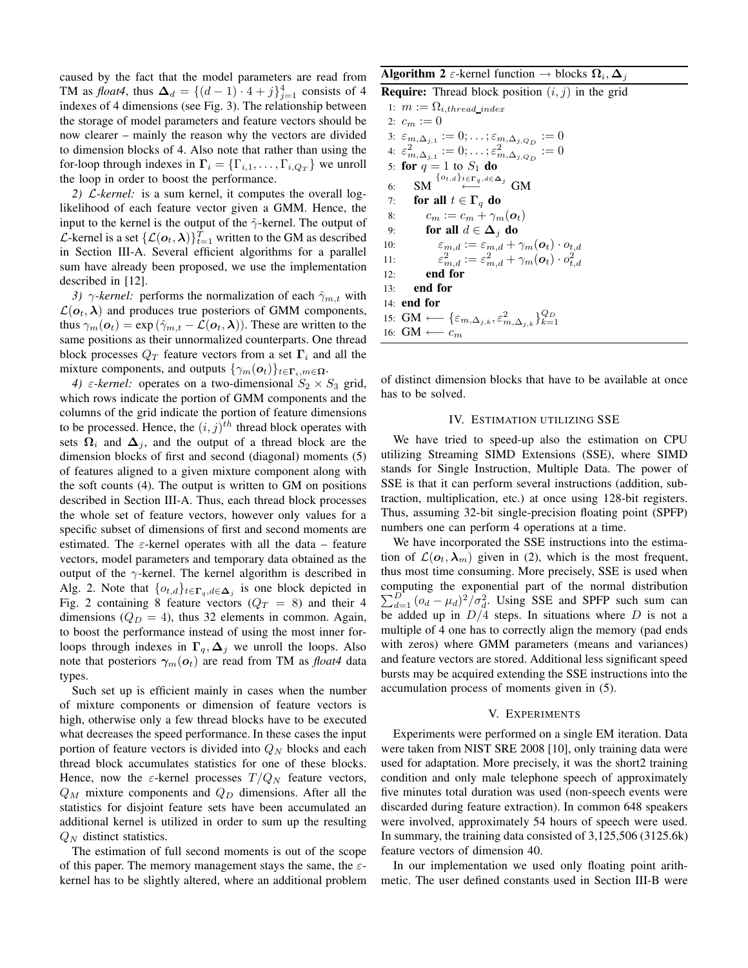caused by the fact that the model parameters are read from TM as *float4*, thus  $\Delta_d = \{(d-1) \cdot 4 + j\}_{j=1}^4$  consists of 4 indexes of 4 dimensions (see Fig. 3). The relationship between the storage of model parameters and feature vectors should be now clearer – mainly the reason why the vectors are divided to dimension blocks of 4. Also note that rather than using the for-loop through indexes in  $\Gamma_i = \{\Gamma_{i,1}, \ldots, \Gamma_{i,Q_T}\}\$  we unroll the loop in order to boost the performance.

*2)* L*-kernel:* is a sum kernel, it computes the overall loglikelihood of each feature vector given a GMM. Hence, the input to the kernel is the output of the  $\hat{\gamma}$ -kernel. The output of *L*-kernel is a set  $\{\mathcal{L}(\boldsymbol{o}_t, \boldsymbol{\lambda})\}_{t=1}^T$  written to the GM as described in Section III-A. Several efficient algorithms for a parallel sum have already been proposed, we use the implementation described in [12].

*3)*  $\gamma$ *-kernel:* performs the normalization of each  $\hat{\gamma}_{m,t}$  with  $\mathcal{L}(\boldsymbol{o}_t, \boldsymbol{\lambda})$  and produces true posteriors of GMM components, thus  $\gamma_m(\boldsymbol{o}_t) = \exp(\hat{\gamma}_{m,t} - \mathcal{L}(\boldsymbol{o}_t, \boldsymbol{\lambda}))$ . These are written to the same positions as their unnormalized counterparts. One thread block processes  $Q_T$  feature vectors from a set  $\Gamma_i$  and all the mixture components, and outputs  $\{\gamma_m(\boldsymbol{o}_t)\}_{t \in \Gamma_i, m \in \Omega}$ .

*4)*  $\varepsilon$ -kernel: operates on a two-dimensional  $S_2 \times S_3$  grid, which rows indicate the portion of GMM components and the columns of the grid indicate the portion of feature dimensions to be processed. Hence, the  $(i, j)^{th}$  thread block operates with sets  $\Omega_i$  and  $\Delta_j$ , and the output of a thread block are the dimension blocks of first and second (diagonal) moments (5) of features aligned to a given mixture component along with the soft counts (4). The output is written to GM on positions described in Section III-A. Thus, each thread block processes the whole set of feature vectors, however only values for a specific subset of dimensions of first and second moments are estimated. The  $\varepsilon$ -kernel operates with all the data – feature vectors, model parameters and temporary data obtained as the output of the  $\gamma$ -kernel. The kernel algorithm is described in Alg. 2. Note that  $\{o_{t,d}\}_{t \in \Gamma_q, d \in \Delta_j}$  is one block depicted in Fig. 2 containing 8 feature vectors  $(Q_T = 8)$  and their 4 dimensions  $(Q_D = 4)$ , thus 32 elements in common. Again, to boost the performance instead of using the most inner forloops through indexes in  $\Gamma_q$ ,  $\Delta_i$  we unroll the loops. Also note that posteriors  $\gamma_m(o_t)$  are read from TM as *float4* data types.

Such set up is efficient mainly in cases when the number of mixture components or dimension of feature vectors is high, otherwise only a few thread blocks have to be executed what decreases the speed performance. In these cases the input portion of feature vectors is divided into  $Q_N$  blocks and each thread block accumulates statistics for one of these blocks. Hence, now the  $\varepsilon$ -kernel processes  $T/Q_N$  feature vectors, Q*<sup>M</sup>* mixture components and Q*<sup>D</sup>* dimensions. After all the statistics for disjoint feature sets have been accumulated an additional kernel is utilized in order to sum up the resulting Q*<sup>N</sup>* distinct statistics.

The estimation of full second moments is out of the scope of this paper. The memory management stays the same, the  $\varepsilon$ kernel has to be slightly altered, where an additional problem

# **Algorithm 2**  $\varepsilon$ -kernel function  $\rightarrow$  blocks  $\Omega_i$ ,  $\Delta$ *j*

```
Require: Thread block position (i, j) in the grid
  1: m := \Omega_{i, thread\_index}2: c_m := 03: \varepsilon_{m,\Delta_{j,1}} := 0; \ldots; \varepsilon_{m,\Delta_{j,Q_D}} := 0\epsilon^{2}_{m,\Delta_{j,1}} := 0; \ldots; \epsilon^{2}_{m,\Delta_{j,Q_D}} := 05: for q = 1 to S_1 do
  6: SM \overset{\{o_{t,d}\}_{t \in \Gamma_q, d \in \Delta_j}}{\longleftarrow} GM
  7: for all t \in \Gamma_q do
  8: c_m := c_m + \gamma_m(\boldsymbol{o}_t)9: for all d \in \Delta_j do
 10: \varepsilon_{m,d} := \varepsilon_{m,d} + \gamma_m(\boldsymbol{o}_t) \cdot o_{t,d}11: \varepsilon_{m,d}^2 := \varepsilon_{m,d}^2 + \gamma_m(\boldsymbol{o}_t) \cdot o_{t,d}^212:13: end for
14: end for
 15: GM \longleftarrow {\{\varepsilon_{m,\Delta_{j,k}}, \varepsilon_{m,\Delta_{j,k}}^2\}}_{k=1}^{Q_D}16: GM ←− cm
```
of distinct dimension blocks that have to be available at once has to be solved.

## IV. ESTIMATION UTILIZING SSE

We have tried to speed-up also the estimation on CPU utilizing Streaming SIMD Extensions (SSE), where SIMD stands for Single Instruction, Multiple Data. The power of SSE is that it can perform several instructions (addition, subtraction, multiplication, etc.) at once using 128-bit registers. Thus, assuming 32-bit single-precision floating point (SPFP) numbers one can perform 4 operations at a time.

We have incorporated the SSE instructions into the estimation of  $\mathcal{L}(\boldsymbol{o}_t, \boldsymbol{\lambda}_m)$  given in (2), which is the most frequent, thus most time consuming. More precisely, SSE is used when computing the exponential part of the normal distribution  $\sum_{d=1}^{D}$   $(\omega_d - \mu_d)^2 / \sigma_d^2$ . Using SSE and SPFP such sum can be added up in  $D/4$  steps. In situations where D is not a multiple of 4 one has to correctly align the memory (pad ends with zeros) where GMM parameters (means and variances) and feature vectors are stored. Additional less significant speed bursts may be acquired extending the SSE instructions into the accumulation process of moments given in (5).

## V. EXPERIMENTS

Experiments were performed on a single EM iteration. Data were taken from NIST SRE 2008 [10], only training data were used for adaptation. More precisely, it was the short2 training condition and only male telephone speech of approximately five minutes total duration was used (non-speech events were discarded during feature extraction). In common 648 speakers were involved, approximately 54 hours of speech were used. In summary, the training data consisted of 3,125,506 (3125.6k) feature vectors of dimension 40.

In our implementation we used only floating point arithmetic. The user defined constants used in Section III-B were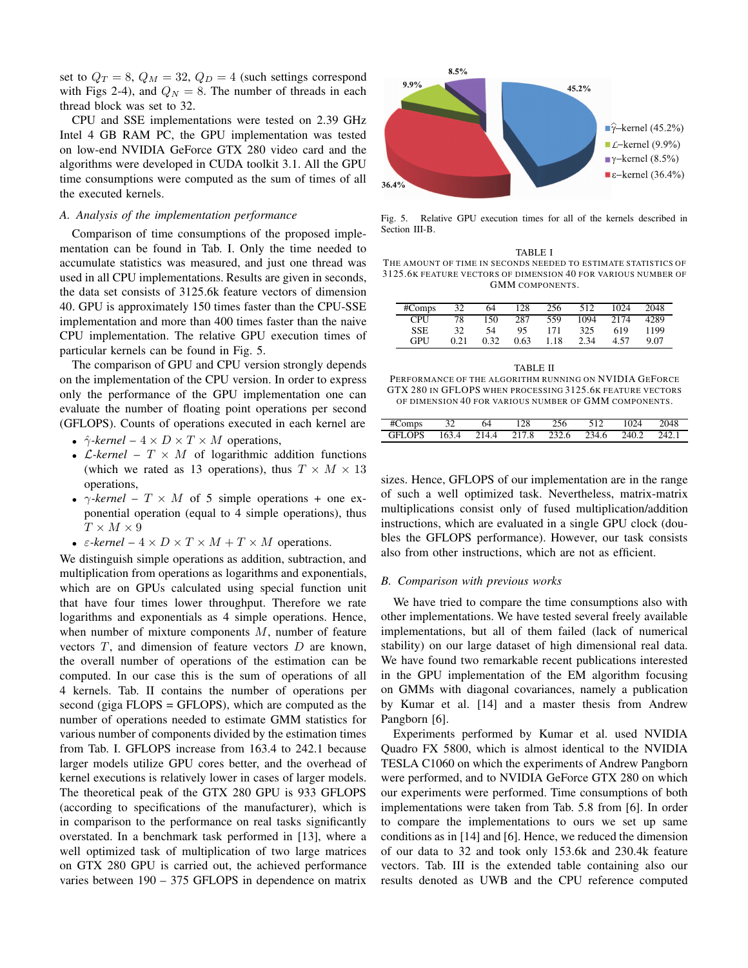set to  $Q_T = 8$ ,  $Q_M = 32$ ,  $Q_D = 4$  (such settings correspond with Figs 2-4), and  $Q_N = 8$ . The number of threads in each thread block was set to 32.

CPU and SSE implementations were tested on 2.39 GHz Intel 4 GB RAM PC, the GPU implementation was tested on low-end NVIDIA GeForce GTX 280 video card and the algorithms were developed in CUDA toolkit 3.1. All the GPU time consumptions were computed as the sum of times of all the executed kernels.

## *A. Analysis of the implementation performance*

Comparison of time consumptions of the proposed implementation can be found in Tab. I. Only the time needed to accumulate statistics was measured, and just one thread was used in all CPU implementations. Results are given in seconds, the data set consists of 3125.6k feature vectors of dimension 40. GPU is approximately 150 times faster than the CPU-SSE implementation and more than 400 times faster than the naive CPU implementation. The relative GPU execution times of particular kernels can be found in Fig. 5.

The comparison of GPU and CPU version strongly depends on the implementation of the CPU version. In order to express only the performance of the GPU implementation one can evaluate the number of floating point operations per second (GFLOPS). Counts of operations executed in each kernel are

- $\hat{\gamma}$ -kernel  $4 \times D \times T \times M$  operations,
- $\mathcal{L}$ -kernel  $T \times M$  of logarithmic addition functions (which we rated as 13 operations), thus  $T \times M \times 13$ operations,
- $\gamma$ -kernel  $T \times M$  of 5 simple operations + one exponential operation (equal to 4 simple operations), thus  $T \times M \times 9$
- $\varepsilon$ -kernel  $4 \times D \times T \times M + T \times M$  operations.

We distinguish simple operations as addition, subtraction, and multiplication from operations as logarithms and exponentials, which are on GPUs calculated using special function unit that have four times lower throughput. Therefore we rate logarithms and exponentials as 4 simple operations. Hence, when number of mixture components  $M$ , number of feature vectors  $T$ , and dimension of feature vectors  $D$  are known, the overall number of operations of the estimation can be computed. In our case this is the sum of operations of all 4 kernels. Tab. II contains the number of operations per second (giga FLOPS = GFLOPS), which are computed as the number of operations needed to estimate GMM statistics for various number of components divided by the estimation times from Tab. I. GFLOPS increase from 163.4 to 242.1 because larger models utilize GPU cores better, and the overhead of kernel executions is relatively lower in cases of larger models. The theoretical peak of the GTX 280 GPU is 933 GFLOPS (according to specifications of the manufacturer), which is in comparison to the performance on real tasks significantly overstated. In a benchmark task performed in [13], where a well optimized task of multiplication of two large matrices on GTX 280 GPU is carried out, the achieved performance varies between 190 – 375 GFLOPS in dependence on matrix



Fig. 5. Relative GPU execution times for all of the kernels described in Section III-B.

| #Comps     | 32   | 64   | 128  | 256  | 512  | 1024 | 2048 |
|------------|------|------|------|------|------|------|------|
| <b>CPU</b> | 78   | 150  | 287  | 559  | 1094 | 2174 | 4289 |
| <b>SSE</b> | 32   | 54   | 95   | 171  | 325  | 619  | 1199 |
| GPH        | 0.21 | 0.32 | 0.63 | 1.18 | 2.34 | 4.57 | 9.07 |

TABLE II PERFORMANCE OF THE ALGORITHM RUNNING ON NVIDIA GEFORCE GTX 280 IN GFLOPS WHEN PROCESSING 3125.6K FEATURE VECTORS OF DIMENSION 40 FOR VARIOUS NUMBER OF GMM COMPONENTS.

| #Comps | 64 | 128 | 256 | 512                                 | 1024 | 2048  |
|--------|----|-----|-----|-------------------------------------|------|-------|
| GFLOPS |    |     |     | 163.4 214.4 217.8 232.6 234.6 240.2 |      | 242.1 |

sizes. Hence, GFLOPS of our implementation are in the range of such a well optimized task. Nevertheless, matrix-matrix multiplications consist only of fused multiplication/addition instructions, which are evaluated in a single GPU clock (doubles the GFLOPS performance). However, our task consists also from other instructions, which are not as efficient.

#### *B. Comparison with previous works*

We have tried to compare the time consumptions also with other implementations. We have tested several freely available implementations, but all of them failed (lack of numerical stability) on our large dataset of high dimensional real data. We have found two remarkable recent publications interested in the GPU implementation of the EM algorithm focusing on GMMs with diagonal covariances, namely a publication by Kumar et al. [14] and a master thesis from Andrew Pangborn [6].

Experiments performed by Kumar et al. used NVIDIA Quadro FX 5800, which is almost identical to the NVIDIA TESLA C1060 on which the experiments of Andrew Pangborn were performed, and to NVIDIA GeForce GTX 280 on which our experiments were performed. Time consumptions of both implementations were taken from Tab. 5.8 from [6]. In order to compare the implementations to ours we set up same conditions as in [14] and [6]. Hence, we reduced the dimension of our data to 32 and took only 153.6k and 230.4k feature vectors. Tab. III is the extended table containing also our results denoted as UWB and the CPU reference computed